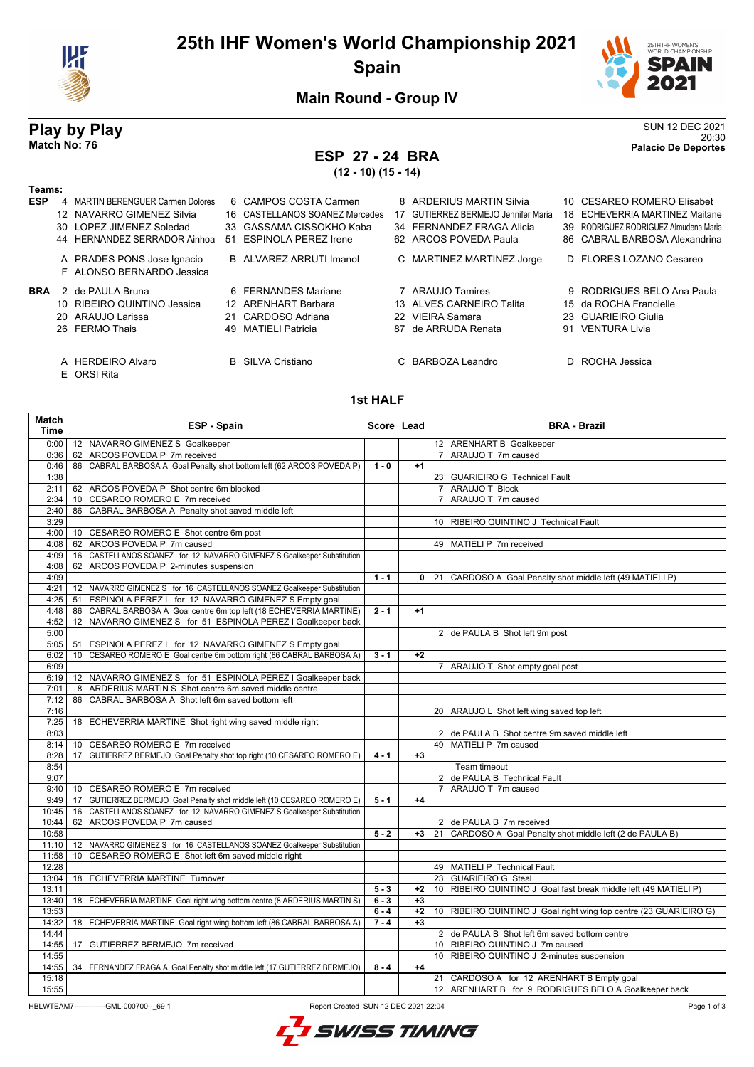

# **25th IHF Women's World Championship 2021 Spain**



**Main Round - Group IV**

## **Play by Play** SUN 12 DEC 2021 20:30 **Match No: 76 Palacio De Deportes**

# **ESP 27 - 24 BRA**

**(12 - 10) (15 - 14)**

| Teams:     |     |                                   |    |                                |    |                                  |    |                                       |
|------------|-----|-----------------------------------|----|--------------------------------|----|----------------------------------|----|---------------------------------------|
| <b>ESP</b> |     | 4 MARTIN BERENGUER Carmen Dolores |    | 6 CAMPOS COSTA Carmen          |    | 8 ARDERIUS MARTIN Silvia         |    | 10 CESAREO ROMERO Elisabet            |
|            | 12. | NAVARRO GIMENEZ Silvia            |    | 16 CASTELLANOS SOANEZ Mercedes | 17 | GUTIERREZ BERMEJO Jennifer Maria |    | 18 ECHEVERRIA MARTINEZ Maitane        |
|            |     | 30 LOPEZ JIMENEZ Soledad          |    | 33 GASSAMA CISSOKHO Kaba       |    | 34 FERNANDEZ FRAGA Alicia        |    | 39 RODRIGUEZ RODRIGUEZ Almudena Maria |
|            |     | 44 HERNANDEZ SERRADOR Ainhoa      | 51 | <b>ESPINOLA PEREZ Irene</b>    |    | 62 ARCOS POVEDA Paula            |    | 86 CABRAL BARBOSA Alexandrina         |
|            |     | A PRADES PONS Jose Ignacio        |    | B ALVAREZ ARRUTI Imanol        |    | C MARTINEZ MARTINEZ Jorge        |    | D FLORES LOZANO Cesareo               |
|            |     | F ALONSO BERNARDO Jessica         |    |                                |    |                                  |    |                                       |
| <b>BRA</b> |     | 2 de PAULA Bruna                  |    | 6 FERNANDES Mariane            |    | ARAUJO Tamires                   |    | 9 RODRIGUES BELO Ana Paula            |
|            |     | 10 RIBEIRO QUINTINO Jessica       |    | 12 ARENHART Barbara            |    | 13 ALVES CARNEIRO Talita         |    | 15 da ROCHA Francielle                |
|            |     | 20 ARAUJO Larissa                 |    | 21 CARDOSO Adriana             | 22 | VIEIRA Samara                    |    | 23 GUARIEIRO Giulia                   |
|            |     | 26 FERMO Thais                    |    | 49 MATIELI Patricia            |    | 87 de ARRUDA Renata              | 91 | <b>VENTURA Livia</b>                  |
|            |     | A HERDEIRO Alvaro<br>E ORSI Rita  |    | <b>B</b> SILVA Cristiano       |    | C BARBOZA Leandro                |    | D ROCHA Jessica                       |

#### **1st HALF**

| Match<br><b>Time</b> | ESP - Spain                                                               | Score Lead |              | <b>BRA - Brazil</b>                                               |
|----------------------|---------------------------------------------------------------------------|------------|--------------|-------------------------------------------------------------------|
| 0:00                 | 12 NAVARRO GIMENEZ S Goalkeeper                                           |            |              | 12 ARENHART B Goalkeeper                                          |
| 0:36                 | 62 ARCOS POVEDA P 7m received                                             |            |              | 7 ARAUJO T 7m caused                                              |
| 0:46                 | 86 CABRAL BARBOSA A Goal Penalty shot bottom left (62 ARCOS POVEDA P)     | $1 - 0$    | $+1$         |                                                                   |
| 1:38                 |                                                                           |            |              | 23 GUARIEIRO G Technical Fault                                    |
| 2:11                 | 62 ARCOS POVEDA P Shot centre 6m blocked                                  |            |              | 7 ARAUJO T Block                                                  |
| 2:34                 | 10 CESAREO ROMERO E 7m received                                           |            |              | 7 ARAUJO T 7m caused                                              |
| 2:40                 | CABRAL BARBOSA A Penalty shot saved middle left<br>86                     |            |              |                                                                   |
| 3:29                 |                                                                           |            |              | 10 RIBEIRO QUINTINO J Technical Fault                             |
| 4:00                 | 10 CESAREO ROMERO E Shot centre 6m post                                   |            |              |                                                                   |
| 4:08                 | 62 ARCOS POVEDA P 7m caused                                               |            |              | 49 MATIELI P 7m received                                          |
| 4:09                 | 16 CASTELLANOS SOANEZ for 12 NAVARRO GIMENEZ S Goalkeeper Substitution    |            |              |                                                                   |
| 4:08                 | 62 ARCOS POVEDA P 2-minutes suspension                                    |            |              |                                                                   |
| 4:09                 |                                                                           | $1 - 1$    |              | 0   21 CARDOSO A Goal Penalty shot middle left (49 MATIELI P)     |
| 4:21                 | 12 NAVARRO GIMENEZ S for 16 CASTELLANOS SOANEZ Goalkeeper Substitution    |            |              |                                                                   |
| 4:25                 | 51 ESPINOLA PEREZ I for 12 NAVARRO GIMENEZ S Empty goal                   |            |              |                                                                   |
| 4:48                 | 86 CABRAL BARBOSA A Goal centre 6m top left (18 ECHEVERRIA MARTINE)       | $2 - 1$    | $+1$         |                                                                   |
| 4:52                 | 12 NAVARRO GIMENEZ S for 51 ESPINOLA PEREZ I Goalkeeper back              |            |              |                                                                   |
| 5:00                 |                                                                           |            |              | 2 de PAULA B Shot left 9m post                                    |
| 5:05                 | 51 ESPINOLA PEREZ I for 12 NAVARRO GIMENEZ S Empty goal                   |            |              |                                                                   |
| 6:02                 | 10 CESAREO ROMERO E Goal centre 6m bottom right (86 CABRAL BARBOSA A)     | $3 - 1$    | $+2$         |                                                                   |
| 6:09                 |                                                                           |            |              | 7 ARAUJO T Shot empty goal post                                   |
| 6:19                 | 12 NAVARRO GIMENEZ S for 51 ESPINOLA PEREZ I Goalkeeper back              |            |              |                                                                   |
| 7:01                 | 8 ARDERIUS MARTIN S Shot centre 6m saved middle centre                    |            |              |                                                                   |
| 7:12                 | 86 CABRAL BARBOSA A Shot left 6m saved bottom left                        |            |              |                                                                   |
| 7:16                 |                                                                           |            |              | 20 ARAUJO L Shot left wing saved top left                         |
| 7:25                 | 18 ECHEVERRIA MARTINE Shot right wing saved middle right                  |            |              |                                                                   |
| 8:03                 |                                                                           |            |              | 2 de PAULA B Shot centre 9m saved middle left                     |
| 8:14                 | 10 CESAREO ROMERO E 7m received                                           |            |              | 49 MATIELI P 7m caused                                            |
| 8:28                 | GUTIERREZ BERMEJO Goal Penalty shot top right (10 CESAREO ROMERO E)<br>17 | $4 - 1$    | $+3$         |                                                                   |
| 8:54                 |                                                                           |            |              | Team timeout                                                      |
| 9:07                 |                                                                           |            |              | 2 de PAULA B Technical Fault                                      |
| 9:40                 | 10 CESAREO ROMERO E 7m received                                           |            |              | 7 ARAUJO T 7m caused                                              |
| 9:49                 | 17 GUTIERREZ BERMEJO Goal Penalty shot middle left (10 CESAREO ROMERO E)  | $5 - 1$    | $+4$         |                                                                   |
| 10:45                | 16 CASTELLANOS SOANEZ for 12 NAVARRO GIMENEZ S Goalkeeper Substitution    |            |              |                                                                   |
| 10:44                | 62 ARCOS POVEDA P 7m caused                                               |            |              | 2 de PAULA B 7m received                                          |
| 10:58                |                                                                           | $5 - 2$    | +3 l         | 21 CARDOSO A Goal Penalty shot middle left (2 de PAULA B)         |
| 11:10                | 12 NAVARRO GIMENEZ S for 16 CASTELLANOS SOANEZ Goalkeeper Substitution    |            |              |                                                                   |
| 11:58                | 10 CESAREO ROMERO E Shot left 6m saved middle right                       |            |              |                                                                   |
| 12:28                |                                                                           |            |              | 49 MATIELI P Technical Fault                                      |
| 13:04                | 18 ECHEVERRIA MARTINE Turnover                                            |            |              | 23 GUARIEIRO G Steal                                              |
| 13:11                |                                                                           | $5 - 3$    | $+2$         | 10 RIBEIRO QUINTINO J Goal fast break middle left (49 MATIELI P)  |
| 13:40                | 18 ECHEVERRIA MARTINE Goal right wing bottom centre (8 ARDERIUS MARTIN S) | $6 - 3$    | $+3$         |                                                                   |
| 13:53                |                                                                           | $6 - 4$    | $+2$<br>$+3$ | 10 RIBEIRO QUINTINO J Goal right wing top centre (23 GUARIEIRO G) |
| 14:32                | 18 ECHEVERRIA MARTINE Goal right wing bottom left (86 CABRAL BARBOSA A)   | $7 - 4$    |              |                                                                   |
| 14:44                |                                                                           |            |              | 2 de PAULA B Shot left 6m saved bottom centre                     |
| 14:55                | 17 GUTIERREZ BERMEJO 7m received                                          |            |              | 10 RIBEIRO QUINTINO J 7m caused                                   |
| 14:55                |                                                                           |            |              | 10 RIBEIRO QUINTINO J 2-minutes suspension                        |
| 14:55                | 34 FERNANDEZ FRAGA A Goal Penalty shot middle left (17 GUTIERREZ BERMEJO) | $8 - 4$    | $+4$         |                                                                   |
| 15:18                |                                                                           |            |              | 21 CARDOSO A for 12 ARENHART B Empty goal                         |
| 15:55                |                                                                           |            |              | 12 ARENHART B for 9 RODRIGUES BELO A Goalkeeper back              |

HBLWTEAM7-------------GML-000700--\_69 1 Report Created SUN 12 DEC 2021 22:04

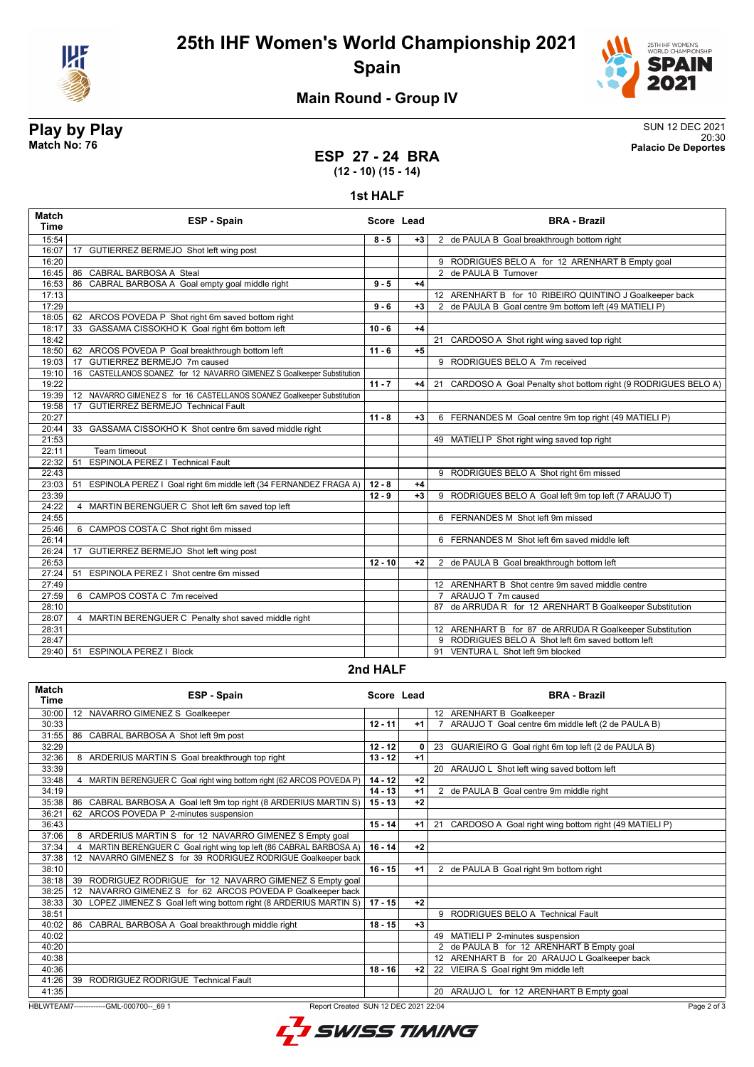



# **Main Round - Group IV**

### **Play by Play** SUN 12 DEC 2021 20:30 **Match No: 76 Palacio De Deportes**

**ESP 27 - 24 BRA (12 - 10) (15 - 14)**

**1st HALF**

| Match<br><b>Time</b> | ESP - Spain                                                             | Score Lead |      | <b>BRA - Brazil</b>                                              |
|----------------------|-------------------------------------------------------------------------|------------|------|------------------------------------------------------------------|
| 15:54                |                                                                         | $8 - 5$    | $+3$ | 2 de PAULA B Goal breakthrough bottom right                      |
| 16:07                | 17 GUTIERREZ BERMEJO Shot left wing post                                |            |      |                                                                  |
| 16:20                |                                                                         |            |      | 9 RODRIGUES BELO A for 12 ARENHART B Empty goal                  |
| 16:45                | 86 CABRAL BARBOSA A Steal                                               |            |      | 2 de PAULA B Turnover                                            |
| 16:53                | CABRAL BARBOSA A Goal empty goal middle right<br>86                     | $9 - 5$    | $+4$ |                                                                  |
| 17:13                |                                                                         |            |      | 12 ARENHART B for 10 RIBEIRO QUINTINO J Goalkeeper back          |
| 17:29                |                                                                         | $9 - 6$    | $+3$ | 2 de PAULA B Goal centre 9m bottom left (49 MATIELI P)           |
| 18:05                | 62 ARCOS POVEDA P Shot right 6m saved bottom right                      |            |      |                                                                  |
| 18:17                | GASSAMA CISSOKHO K Goal right 6m bottom left<br>33                      | $10 - 6$   | $+4$ |                                                                  |
| 18:42                |                                                                         |            |      | 21 CARDOSO A Shot right wing saved top right                     |
| 18:50                | 62 ARCOS POVEDA P Goal breakthrough bottom left                         | $11 - 6$   | $+5$ |                                                                  |
| 19:03                | 17 GUTIERREZ BERMEJO 7m caused                                          |            |      | 9 RODRIGUES BELO A 7m received                                   |
| 19:10                | 16 CASTELLANOS SOANEZ for 12 NAVARRO GIMENEZ S Goalkeeper Substitution  |            |      |                                                                  |
| 19:22                |                                                                         | $11 - 7$   | +4   | 21 CARDOSO A Goal Penalty shot bottom right (9 RODRIGUES BELO A) |
| 19:39                | 12 NAVARRO GIMENEZ S for 16 CASTELLANOS SOANEZ Goalkeeper Substitution  |            |      |                                                                  |
| 19:58                | <b>GUTIERREZ BERMEJO Technical Fault</b><br>17                          |            |      |                                                                  |
| 20:27                |                                                                         | $11 - 8$   | $+3$ | 6 FERNANDES M Goal centre 9m top right (49 MATIELI P)            |
| 20:44                | 33 GASSAMA CISSOKHO K Shot centre 6m saved middle right                 |            |      |                                                                  |
| 21:53                |                                                                         |            |      | 49 MATIELI P Shot right wing saved top right                     |
| 22:11                | Team timeout                                                            |            |      |                                                                  |
| 22:32                | ESPINOLA PEREZ   Technical Fault<br>51                                  |            |      |                                                                  |
| 22:43                |                                                                         |            |      | 9 RODRIGUES BELO A Shot right 6m missed                          |
| 23:03                | ESPINOLA PEREZ   Goal right 6m middle left (34 FERNANDEZ FRAGA A)<br>51 | $12 - 8$   | $+4$ |                                                                  |
| 23:39                |                                                                         | $12 - 9$   | $+3$ | 9 RODRIGUES BELO A Goal left 9m top left (7 ARAUJO T)            |
| 24:22                | MARTIN BERENGUER C Shot left 6m saved top left<br>4                     |            |      |                                                                  |
| 24:55                |                                                                         |            |      | 6 FERNANDES M Shot left 9m missed                                |
| 25:46                | 6 CAMPOS COSTA C Shot right 6m missed                                   |            |      |                                                                  |
| 26:14                |                                                                         |            |      | 6 FERNANDES M Shot left 6m saved middle left                     |
| 26:24                | 17 GUTIERREZ BERMEJO Shot left wing post                                |            |      |                                                                  |
| 26:53                |                                                                         | $12 - 10$  | $+2$ | 2 de PAULA B Goal breakthrough bottom left                       |
| 27:24                | ESPINOLA PEREZ I Shot centre 6m missed<br>51                            |            |      |                                                                  |
| 27:49                |                                                                         |            |      | 12 ARENHART B Shot centre 9m saved middle centre                 |
| 27:59                | 6 CAMPOS COSTA C 7m received                                            |            |      | 7 ARAUJO T 7m caused                                             |
| 28:10                |                                                                         |            |      | 87 de ARRUDA R for 12 ARENHART B Goalkeeper Substitution         |
| 28:07                | MARTIN BERENGUER C Penalty shot saved middle right<br>4                 |            |      |                                                                  |
| 28:31                |                                                                         |            |      | 12 ARENHART B for 87 de ARRUDA R Goalkeeper Substitution         |
| 28:47                |                                                                         |            |      | 9 RODRIGUES BELO A Shot left 6m saved bottom left                |
| 29:40                | <b>ESPINOLA PEREZ   Block</b><br>51                                     |            |      | 91 VENTURA L Shot left 9m blocked                                |
|                      |                                                                         |            |      |                                                                  |

#### **2nd HALF**

| <b>Match</b><br><b>Time</b>                                                                  | ESP - Spain                                                                      | Score Lead |      |    | <b>BRA - Brazil</b>                                   |
|----------------------------------------------------------------------------------------------|----------------------------------------------------------------------------------|------------|------|----|-------------------------------------------------------|
| 30:00                                                                                        | 12 NAVARRO GIMENEZ S Goalkeeper                                                  |            |      |    | 12 ARENHART B Goalkeeper                              |
| 30:33                                                                                        |                                                                                  | $12 - 11$  | $+1$ |    | ARAUJO T Goal centre 6m middle left (2 de PAULA B)    |
| 31:55                                                                                        | 86 CABRAL BARBOSA A Shot left 9m post                                            |            |      |    |                                                       |
| 32:29                                                                                        |                                                                                  | $12 - 12$  | 0    |    | 23 GUARIEIRO G Goal right 6m top left (2 de PAULA B)  |
| 32:36                                                                                        | 8 ARDERIUS MARTIN S Goal breakthrough top right                                  | $13 - 12$  | $+1$ |    |                                                       |
| 33:39                                                                                        |                                                                                  |            |      |    | 20 ARAUJO L Shot left wing saved bottom left          |
| 33:48                                                                                        | 4 MARTIN BERENGUER C Goal right wing bottom right (62 ARCOS POVEDA P)            | $14 - 12$  | $+2$ |    |                                                       |
| 34:19                                                                                        |                                                                                  | $14 - 13$  | $+1$ |    | 2 de PAULA B Goal centre 9m middle right              |
| 35:38                                                                                        | 86<br>CABRAL BARBOSA A Goal left 9m top right (8 ARDERIUS MARTIN S)              | $15 - 13$  | $+2$ |    |                                                       |
| 36:21                                                                                        | ARCOS POVEDA P 2-minutes suspension<br>62                                        |            |      |    |                                                       |
| 36:43                                                                                        |                                                                                  | $15 - 14$  | $+1$ | 21 | CARDOSO A Goal right wing bottom right (49 MATIELI P) |
| 37:06                                                                                        | 8 ARDERIUS MARTIN S for 12 NAVARRO GIMENEZ S Empty goal                          |            |      |    |                                                       |
| 37:34                                                                                        | MARTIN BERENGUER C Goal right wing top left (86 CABRAL BARBOSA A)                | $16 - 14$  | $+2$ |    |                                                       |
| 37:38                                                                                        | NAVARRO GIMENEZ S for 39 RODRIGUEZ RODRIGUE Goalkeeper back<br>$12 \overline{ }$ |            |      |    |                                                       |
| 38:10                                                                                        |                                                                                  | $16 - 15$  | $+1$ |    | 2 de PAULA B Goal right 9m bottom right               |
| 38:18                                                                                        | RODRIGUEZ RODRIGUE for 12 NAVARRO GIMENEZ S Empty goal<br>39                     |            |      |    |                                                       |
| 38:25                                                                                        | NAVARRO GIMENEZ S for 62 ARCOS POVEDA P Goalkeeper back<br>12                    |            |      |    |                                                       |
| 38:33                                                                                        | LOPEZ JIMENEZ S Goal left wing bottom right (8 ARDERIUS MARTIN S)<br>30          | $17 - 15$  | $+2$ |    |                                                       |
| 38:51                                                                                        |                                                                                  |            |      |    | 9 RODRIGUES BELO A Technical Fault                    |
| 40:02                                                                                        | 86<br>CABRAL BARBOSA A Goal breakthrough middle right                            | $18 - 15$  | $+3$ |    |                                                       |
| 40:02                                                                                        |                                                                                  |            |      | 49 | MATIELI P 2-minutes suspension                        |
| 40:20                                                                                        |                                                                                  |            |      |    | 2 de PAULA B for 12 ARENHART B Empty goal             |
| 40:38                                                                                        |                                                                                  |            |      |    | 12 ARENHART B for 20 ARAUJO L Goalkeeper back         |
| 40:36                                                                                        |                                                                                  | $18 - 16$  | $+2$ |    | 22 VIEIRA S Goal right 9m middle left                 |
| 41:26                                                                                        | 39<br>RODRIGUEZ RODRIGUE Technical Fault                                         |            |      |    |                                                       |
| 41:35                                                                                        |                                                                                  |            |      | 20 | ARAUJO L for 12 ARENHART B Empty goal                 |
| HBLWTEAM7-------------GML-000700-- 69 1<br>Page 2 of<br>Report Created SUN 12 DEC 2021 22:04 |                                                                                  |            |      |    |                                                       |